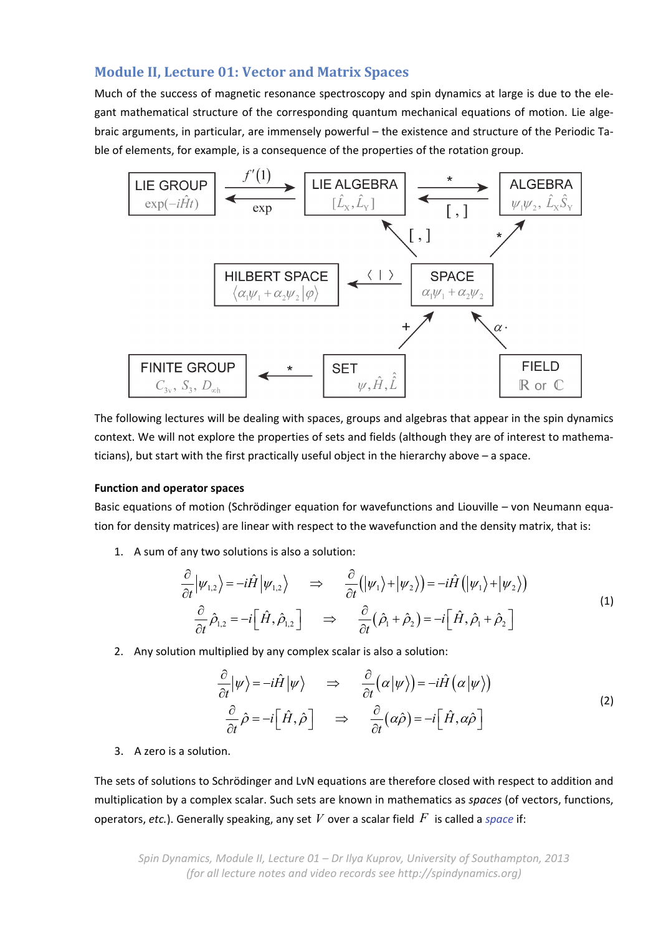# **Module II, Lecture 01: Vector and Matrix Spaces**

Much of the success of magnetic resonance spectroscopy and spin dynamics at large is due to the elegant mathematical structure of the corresponding quantum mechanical equations of motion. Lie algebraic arguments, in particular, are immensely powerful – the existence and structure of the Periodic Ta‐ ble of elements, for example, is a consequence of the properties of the rotation group.



The following lectures will be dealing with spaces, groups and algebras that appear in the spin dynamics context. We will not explore the properties of sets and fields (although they are of interest to mathematicians), but start with the first practically useful object in the hierarchy above – a space.

## **Function and operator spaces**

Basic equations of motion (Schrödinger equation for wavefunctions and Liouville – von Neumann equa‐ tion for density matrices) are linear with respect to the wavefunction and the density matrix, that is:

1. A sum of any two solutions is also a solution:

$$
\frac{\partial}{\partial t} |\psi_{1,2}\rangle = -i\hat{H} |\psi_{1,2}\rangle \Rightarrow \frac{\partial}{\partial t} (|\psi_1\rangle + |\psi_2\rangle) = -i\hat{H} (|\psi_1\rangle + |\psi_2\rangle)
$$
\n
$$
\frac{\partial}{\partial t} \hat{\rho}_{1,2} = -i \Big[ \hat{H}, \hat{\rho}_{1,2} \Big] \Rightarrow \frac{\partial}{\partial t} (\hat{\rho}_1 + \hat{\rho}_2) = -i \Big[ \hat{H}, \hat{\rho}_1 + \hat{\rho}_2 \Big]
$$
\n(1)

2. Any solution multiplied by any complex scalar is also a solution:

$$
\frac{\partial}{\partial t}|\psi\rangle = -i\hat{H}|\psi\rangle \Rightarrow \frac{\partial}{\partial t}(\alpha|\psi\rangle) = -i\hat{H}(\alpha|\psi\rangle)
$$
\n
$$
\frac{\partial}{\partial t}\hat{\rho} = -i\left[\hat{H},\hat{\rho}\right] \Rightarrow \frac{\partial}{\partial t}(\alpha\hat{\rho}) = -i\left[\hat{H},\alpha\hat{\rho}\right]
$$
\n(2)

3. A zero is a solution.

The sets of solutions to Schrödinger and LvN equations are therefore closed with respect to addition and multiplication by a complex scalar. Such sets are known in mathematics as *spaces* (of vectors, functions, operators, *etc.*). Generally speaking, any set *V* over a scalar field *F* is called a *space* if: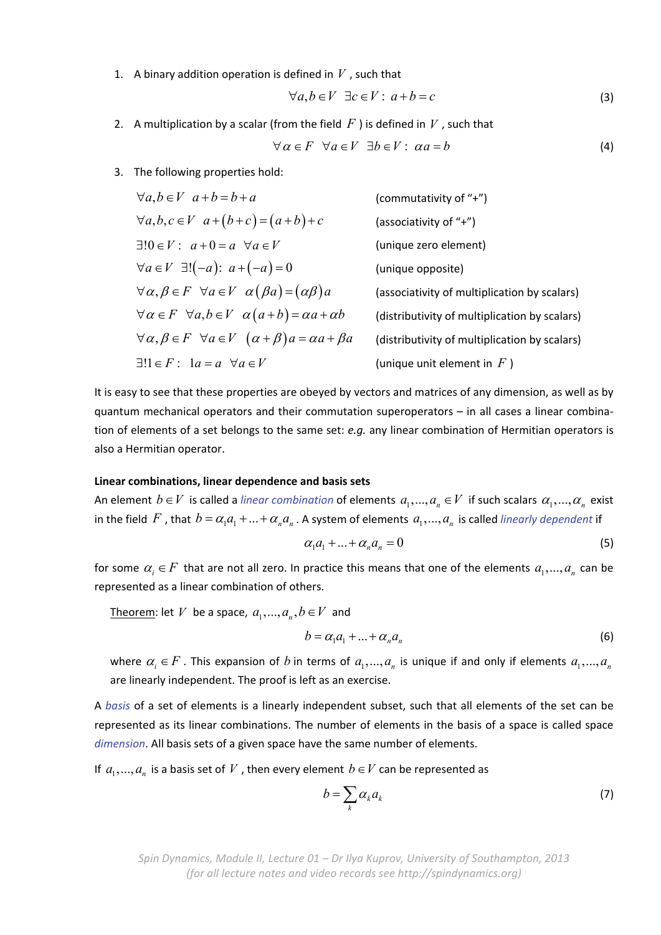1. A binary addition operation is defined in *V* , such that

$$
\forall a, b \in V \ \exists c \in V : a + b = c \tag{3}
$$

2. A multiplication by a scalar (from the field  $F$ ) is defined in  $V$ , such that

$$
\forall \alpha \in F \quad \forall a \in V \quad \exists b \in V : \ \alpha a = b \tag{4}
$$

3. The following properties hold:

$$
\forall a, b \in V \ a+b=b+a
$$
 (commutativity of "+")  
\n
$$
\forall a, b, c \in V \ a+(b+c) = (a+b)+c
$$
 (associativity of "+")  
\n
$$
\exists!0 \in V : a+0 = a \ \forall a \in V
$$
 (unique zero element)  
\n
$$
\forall a \in V \ \exists!(-a): a+(-a) = 0
$$
 (unique opposite)  
\n
$$
\forall \alpha, \beta \in F \ \forall a \in V \ \alpha(\beta a) = (\alpha \beta)a
$$
 (associativity of multiplication by scalars)  
\n
$$
\forall \alpha \in F \ \forall a, b \in V \ \alpha(a+b) = \alpha a + \alpha b
$$
 (distributivity of multiplication by scalars)  
\n
$$
\forall \alpha, \beta \in F \ \forall a \in V \ \alpha + \beta \text{)} = \alpha a + \beta a
$$
 (distributivity of multiplication by scalars)  
\n
$$
\exists!1 \in F : 1a = a \ \forall a \in V
$$
 (unique unit element in F)

It is easy to see that these properties are obeyed by vectors and matrices of any dimension, as well as by quantum mechanical operators and their commutation superoperators – in all cases a linear combina‐ tion of elements of a set belongs to the same set: *e.g.* any linear combination of Hermitian operators is also a Hermitian operator.

#### **Linear combinations, linear dependence and basis sets**

An element  $b \in V$  is called a *linear combination* of elements  $a_1,..., a_n \in V$  if such scalars  $a_1,..., a_n$  exist in the field F, that  $b = \alpha_1 a_1 + ... + \alpha_n a_n$ . A system of elements  $a_1,..., a_n$  is called *linearly dependent* if

$$
\alpha_1 a_1 + \dots + \alpha_n a_n = 0 \tag{5}
$$

for some  $\alpha_i \in F$  that are not all zero. In practice this means that one of the elements  $a_1,..., a_n$  can be represented as a linear combination of others.

Theorem: let *V* be a space,  $a_1, ..., a_n, b \in V$  and

$$
b = \alpha_1 a_1 + \dots + \alpha_n a_n \tag{6}
$$

where  $\alpha_i \in F$ . This expansion of *b* in terms of  $a_1,..., a_n$  is unique if and only if elements  $a_1,..., a_n$ are linearly independent. The proof is left as an exercise.

A *basis* of a set of elements is a linearly independent subset, such that all elements of the set can be represented as its linear combinations. The number of elements in the basis of a space is called space *dimension*. All basis sets of a given space have the same number of elements.

If  $a_1,..., a_n$  is a basis set of V, then every element  $b \in V$  can be represented as

$$
b = \sum_{k} \alpha_{k} a_{k} \tag{7}
$$

*Spin Dynamics, Module II, Lecture 01 – Dr Ilya Kuprov, University of Southampton, 2013 (for all lecture notes and video records see http://spindynamics.org)*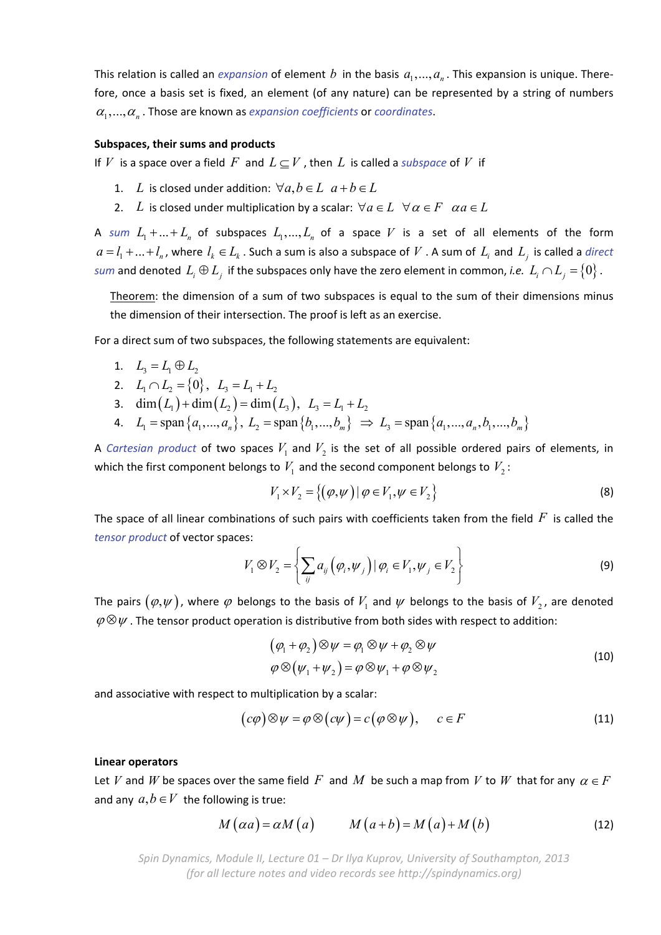This relation is called an *expansion* of element *b* in the basis  $a_1, ..., a_n$ . This expansion is unique. Therefore, once a basis set is fixed, an element (of any nature) can be represented by a string of numbers  $\alpha_1, \ldots, \alpha_n$ . Those are known as *expansion coefficients* or *coordinates*.

#### **Subspaces, their sums and products**

If *V* is a space over a field F and  $L \subseteq V$ , then L is called a *subspace* of V if

- 1. *L* is closed under addition:  $\forall a, b \in L$   $a+b \in L$
- 2. *L* is closed under multiplication by a scalar:  $\forall a \in L$   $\forall \alpha \in F$   $\alpha a \in L$

A sum  $L_1 + ... + L_n$  of subspaces  $L_1,..., L_n$  of a space V is a set of all elements of the form  $a = l_1 + ... + l_n$ , where  $l_k \in L_k$ . Such a sum is also a subspace of V. A sum of  $L_i$  and  $L_i$  is called a *direct sum* and denoted  $L_i \oplus L_j$  if the subspaces only have the zero element in common, *i.e.*  $L_i \cap L_j = \{0\}$ .

Theorem: the dimension of a sum of two subspaces is equal to the sum of their dimensions minus the dimension of their intersection. The proof is left as an exercise.

For a direct sum of two subspaces, the following statements are equivalent:

$$
1. \quad L_3 = L_1 \oplus L_2
$$

2. 
$$
L_1 \cap L_2 = \{0\}, L_3 = L_1 + L_2
$$

- 3.  $\dim(L_1) + \dim(L_2) = \dim(L_3)$ ,  $L_3 = L_1 + L_2$
- 4.  $L_1 = \text{span}\{a_1, ..., a_n\}, L_2 = \text{span}\{b_1, ..., b_m\} \implies L_3 = \text{span}\{a_1, ..., a_n, b_1, ..., b_m\}$

A *Cartesian product* of two spaces  $V_1$  and  $V_2$  is the set of all possible ordered pairs of elements, in which the first component belongs to  $V_1$  and the second component belongs to  $V_2$ :

$$
V_1 \times V_2 = \{ (\varphi, \psi) \mid \varphi \in V_1, \psi \in V_2 \}
$$
\n
$$
(8)
$$

The space of all linear combinations of such pairs with coefficients taken from the field *F* is called the *tensor product* of vector spaces:

$$
V_1 \otimes V_2 = \left\{ \sum_{ij} a_{ij} \left( \varphi_i, \psi_j \right) \mid \varphi_i \in V_1, \psi_j \in V_2 \right\}
$$
 (9)

The pairs  $(\varphi,\psi)$ , where  $\varphi$  belongs to the basis of  $V_1$  and  $\psi$  belongs to the basis of  $V_2$ , are denoted  $\varphi \otimes \psi$ . The tensor product operation is distributive from both sides with respect to addition:

$$
(\varphi_1 + \varphi_2) \otimes \psi = \varphi_1 \otimes \psi + \varphi_2 \otimes \psi
$$
  
\n
$$
\varphi \otimes (\psi_1 + \psi_2) = \varphi \otimes \psi_1 + \varphi \otimes \psi_2
$$
\n(10)

and associative with respect to multiplication by a scalar:

$$
(c\varphi) \otimes \psi = \varphi \otimes (c\psi) = c(\varphi \otimes \psi), \qquad c \in F \tag{11}
$$

#### **Linear operators**

Let *V* and *W* be spaces over the same field F and M be such a map from *V* to *W* that for any  $\alpha \in F$ and any  $a, b \in V$  the following is true:

$$
M\left(\alpha a\right) = \alpha M\left(a\right) \qquad M\left(a+b\right) = M\left(a\right) + M\left(b\right) \tag{12}
$$

*Spin Dynamics, Module II, Lecture 01 – Dr Ilya Kuprov, University of Southampton, 2013 (for all lecture notes and video records see http://spindynamics.org)*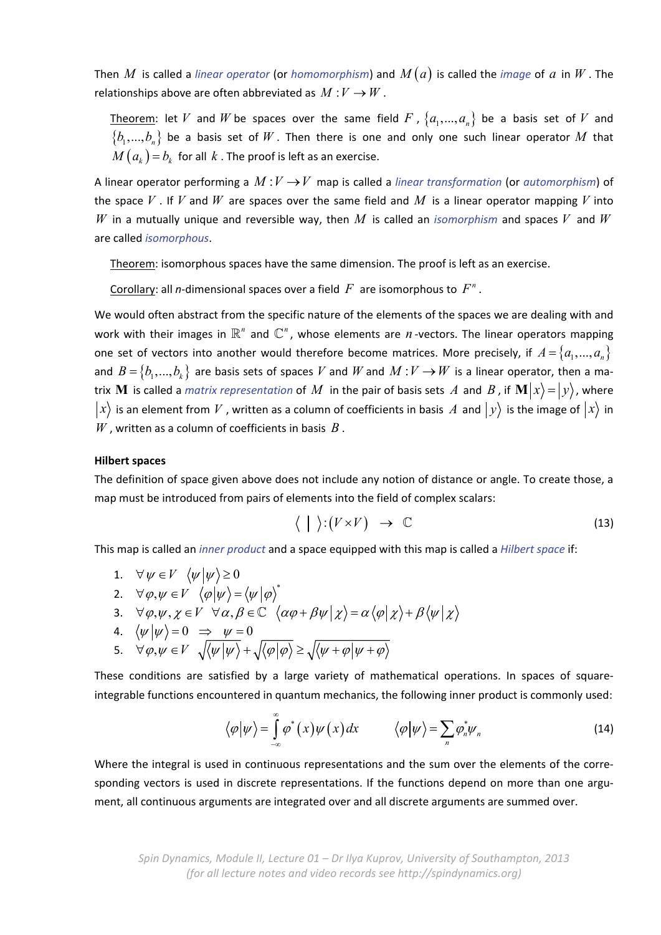Then  $M$  is called a *linear operator* (or *homomorphism*) and  $M(a)$  is called the *image* of  $a$  in  $W$ . The relationships above are often abbreviated as  $M: V \to W$ .

Theorem: let *V* and *W* be spaces over the same field *F* ,  $\{a_1,..., a_n\}$  be a basis set of *V* and  $\{b_1,...,b_n\}$  be a basis set of W. Then there is one and only one such linear operator M that  $M(a_k) = b_k$  for all *k*. The proof is left as an exercise.

A linear operator performing a  $M: V \rightarrow V$  map is called a *linear transformation* (or *automorphism*) of the space *V* . If *V* and *W* are spaces over the same field and *M* is a linear operator mapping *V* into *W* in a mutually unique and reversible way, then *M* is called an *isomorphism* and spaces *V* and *W* are called *isomorphous*.

Theorem: isomorphous spaces have the same dimension. The proof is left as an exercise.

Corollary: all *n*-dimensional spaces over a field  $F$  are isomorphous to  $F^n$ .

We would often abstract from the specific nature of the elements of the spaces we are dealing with and work with their images in  $\mathbb{R}^n$  and  $\mathbb{C}^n$ , whose elements are *n*-vectors. The linear operators mapping one set of vectors into another would therefore become matrices. More precisely, if  $A = \{a_1, ..., a_n\}$ and  $B = \{b_1, ..., b_k\}$  are basis sets of spaces *V* and *W* and  $M: V \to W$  is a linear operator, then a matrix  $\bf{M}$  is called a *matrix representation* of  $M$  in the pair of basis sets  $A$  and  $B$  , if  $\bf{M}|x\rangle = |y\rangle$ , where  $|x\rangle$  is an element from *V*, written as a column of coefficients in basis A and  $|y\rangle$  is the image of  $|x\rangle$  in *W* , written as a column of coefficients in basis *B* .

#### **Hilbert spaces**

The definition of space given above does not include any notion of distance or angle. To create those, a map must be introduced from pairs of elements into the field of complex scalars:

$$
\langle \ | \ \rangle : (V \times V) \ \to \ \mathbb{C} \tag{13}
$$

This map is called an *inner product* and a space equipped with this map is called a *Hilbert space* if:

1.  $\forall \psi \in V \ \langle \psi | \psi \rangle \ge 0$ 2.  $\forall \varphi, \psi \in V \langle \varphi | \psi \rangle = \langle \psi | \varphi \rangle^*$ 3.  $\forall \varphi, \psi, \chi \in V \ \ \forall \alpha, \beta \in \mathbb{C} \ \ \langle \alpha \varphi + \beta \psi | \chi \rangle = \alpha \langle \varphi | \chi \rangle + \beta \langle \psi | \chi \rangle$ 

$$
\begin{array}{ccc}\n\mathbf{1} & \sqrt{\varphi}, \mathbf{y} & \sqrt{\mathbf{y}} & \sqrt{\mathbf{y}} & \sqrt{\mathbf{y}} & \sqrt{\mathbf{y}} & \sqrt{\mathbf{y}} \\
\mathbf{y} & \sqrt{\mathbf{y}} & \sqrt{\mathbf{y}} & \sqrt{\mathbf{y}} & \sqrt{\mathbf{y}} & \sqrt{\mathbf{y}} \\
\mathbf{y} & \sqrt{\mathbf{y}} & \sqrt{\mathbf{y}} & \sqrt{\mathbf{y}} & \sqrt{\mathbf{y}} & \sqrt{\mathbf{y}} \\
\mathbf{y} & \sqrt{\mathbf{y}} & \sqrt{\mathbf{y}} & \sqrt{\mathbf{y}} & \sqrt{\mathbf{y}} & \sqrt{\mathbf{y}} \\
\mathbf{y} & \sqrt{\mathbf{y}} & \sqrt{\mathbf{y}} & \sqrt{\mathbf{y}} & \sqrt{\mathbf{y}} & \sqrt{\mathbf{y}} \\
\mathbf{y} & \sqrt{\mathbf{y}} & \sqrt{\mathbf{y}} & \sqrt{\mathbf{y}} & \sqrt{\mathbf{y}} & \sqrt{\mathbf{y}} \\
\mathbf{y} & \sqrt{\mathbf{y}} & \sqrt{\mathbf{y}} & \sqrt{\mathbf{y}} & \sqrt{\mathbf{y}} & \sqrt{\mathbf{y}} \\
\mathbf{y} & \sqrt{\mathbf{y}} & \sqrt{\mathbf{y}} & \sqrt{\mathbf{y}} & \sqrt{\mathbf{y}} & \sqrt{\mathbf{y}} \\
\mathbf{y} & \sqrt{\mathbf{y}} & \sqrt{\mathbf{y}} & \sqrt{\mathbf{y}} & \sqrt{\mathbf{y}} & \sqrt{\mathbf{y}} \\
\mathbf{y} & \sqrt{\mathbf{y}} & \sqrt{\mathbf{y}} & \sqrt{\mathbf{y}} & \sqrt{\mathbf{y}} \\
\mathbf{y} & \sqrt{\mathbf{y}} & \sqrt{\mathbf{y}} & \sqrt{\mathbf{y}} & \sqrt{\mathbf{y}} \\
\mathbf{y} & \sqrt{\mathbf{y}} & \sqrt{\mathbf{y}} & \sqrt{\mathbf{y}} & \sqrt{\mathbf{y}} \\
\mathbf{y} & \sqrt{\mathbf{y}} & \sqrt{\mathbf{
$$

4. 
$$
\langle \psi | \psi \rangle = 0 \implies \psi = 0
$$

5. 
$$
\forall \varphi, \psi \in V \quad \sqrt{\langle \psi | \psi \rangle} + \sqrt{\langle \varphi | \varphi \rangle} \ge \sqrt{\langle \psi + \varphi | \psi + \varphi \rangle}
$$

These conditions are satisfied by a large variety of mathematical operations. In spaces of square‐ integrable functions encountered in quantum mechanics, the following inner product is commonly used:

$$
\langle \varphi | \psi \rangle = \int_{-\infty}^{\infty} \varphi^*(x) \psi(x) dx \qquad \langle \varphi | \psi \rangle = \sum_{n} \varphi_n^* \psi_n \qquad (14)
$$

Where the integral is used in continuous representations and the sum over the elements of the corresponding vectors is used in discrete representations. If the functions depend on more than one argument, all continuous arguments are integrated over and all discrete arguments are summed over.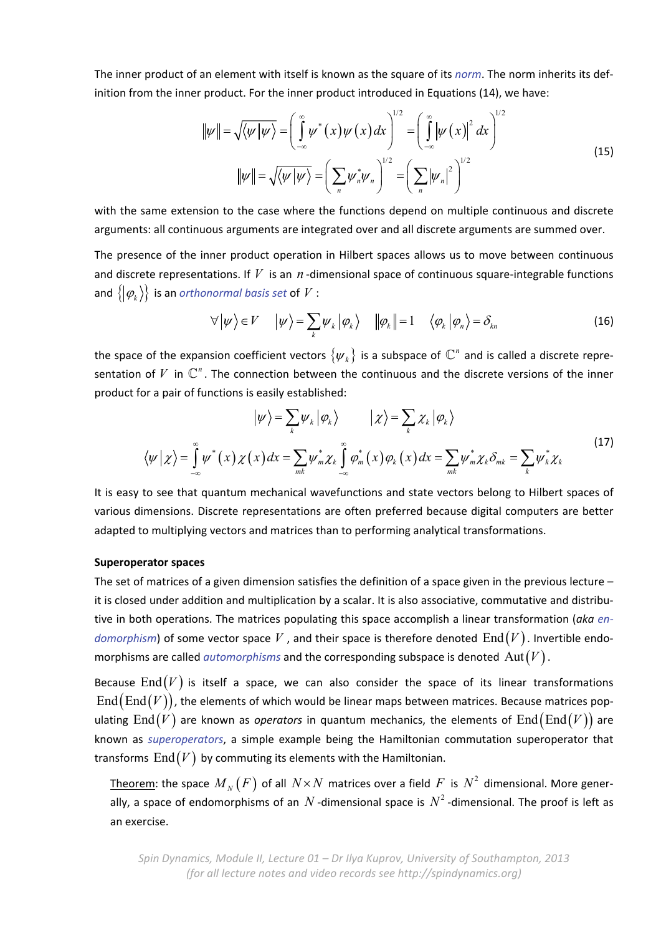The inner product of an element with itself is known as the square of its *norm*. The norm inherits its def‐ inition from the inner product. For the inner product introduced in Equations (14), we have:

$$
\|\psi\| = \sqrt{\langle \psi | \psi \rangle} = \left(\int_{-\infty}^{\infty} \psi^*(x) \psi(x) dx\right)^{1/2} = \left(\int_{-\infty}^{\infty} \left|\psi(x)\right|^2 dx\right)^{1/2}
$$
  

$$
\|\psi\| = \sqrt{\langle \psi | \psi \rangle} = \left(\sum_n \psi_n^* \psi_n\right)^{1/2} = \left(\sum_n |\psi_n|^2\right)^{1/2}
$$
(15)

with the same extension to the case where the functions depend on multiple continuous and discrete arguments: all continuous arguments are integrated over and all discrete arguments are summed over.

The presence of the inner product operation in Hilbert spaces allows us to move between continuous and discrete representations. If  $V$  is an  $n$ -dimensional space of continuous square-integrable functions and  $\{ | \varphi_k \rangle \}$  is an *orthonormal basis set* of *V* :

$$
\forall |\psi\rangle \in V \qquad |\psi\rangle = \sum_{k} \psi_{k} |\varphi_{k}\rangle \qquad ||\varphi_{k}|| = 1 \qquad \langle \varphi_{k} |\varphi_{n}\rangle = \delta_{kn} \tag{16}
$$

the space of the expansion coefficient vectors  $\{\psi_k\}$  is a subspace of  $\mathbb{C}^n$  and is called a discrete representation of  $V$  in  $\mathbb{C}^n$ . The connection between the continuous and the discrete versions of the inner product for a pair of functions is easily established:

$$
\left|\psi\right\rangle = \sum_{k} \psi_{k} \left|\varphi_{k}\right\rangle \qquad \left|\chi\right\rangle = \sum_{k} \chi_{k} \left|\varphi_{k}\right\rangle
$$
\n
$$
\left\langle\psi\right|\chi\right\rangle = \int_{-\infty}^{\infty} \psi^{*}(x) \chi(x) dx = \sum_{mk} \psi^{*}_{m} \chi_{k} \int_{-\infty}^{\infty} \varphi^{*}_{m}(x) \varphi_{k}(x) dx = \sum_{mk} \psi^{*}_{m} \chi_{k} \delta_{mk} = \sum_{k} \psi^{*}_{k} \chi_{k}
$$
\n(17)

It is easy to see that quantum mechanical wavefunctions and state vectors belong to Hilbert spaces of various dimensions. Discrete representations are often preferred because digital computers are better adapted to multiplying vectors and matrices than to performing analytical transformations.

### **Superoperator spaces**

The set of matrices of a given dimension satisfies the definition of a space given in the previous lecture – it is closed under addition and multiplication by a scalar. It is also associative, commutative and distributive in both operations. The matrices populating this space accomplish a linear transformation (*aka en‐ domorphism*) of some vector space V, and their space is therefore denoted  $\text{End}(V)$ . Invertible endomorphisms are called *automorphisms* and the corresponding subspace is denoted  $\mathrm{Aut}(V)$ .

Because  $\text{End}(V)$  is itself a space, we can also consider the space of its linear transformations  $\text{End}(\text{End}(V))$ , the elements of which would be linear maps between matrices. Because matrices populating  $\text{End}(V)$  are known as *operators* in quantum mechanics, the elements of  $\text{End}(\text{End}(V))$  are known as *superoperators*, a simple example being the Hamiltonian commutation superoperator that transforms  $\text{End}(V)$  by commuting its elements with the Hamiltonian.

Theorem: the space  $M_N(F)$  of all  $N \times N$  matrices over a field F is  $N^2$  dimensional. More generally, a space of endomorphisms of an  $N$  -dimensional space is  $N^2$  -dimensional. The proof is left as an exercise.

*Spin Dynamics, Module II, Lecture 01 – Dr Ilya Kuprov, University of Southampton, 2013 (for all lecture notes and video records see http://spindynamics.org)*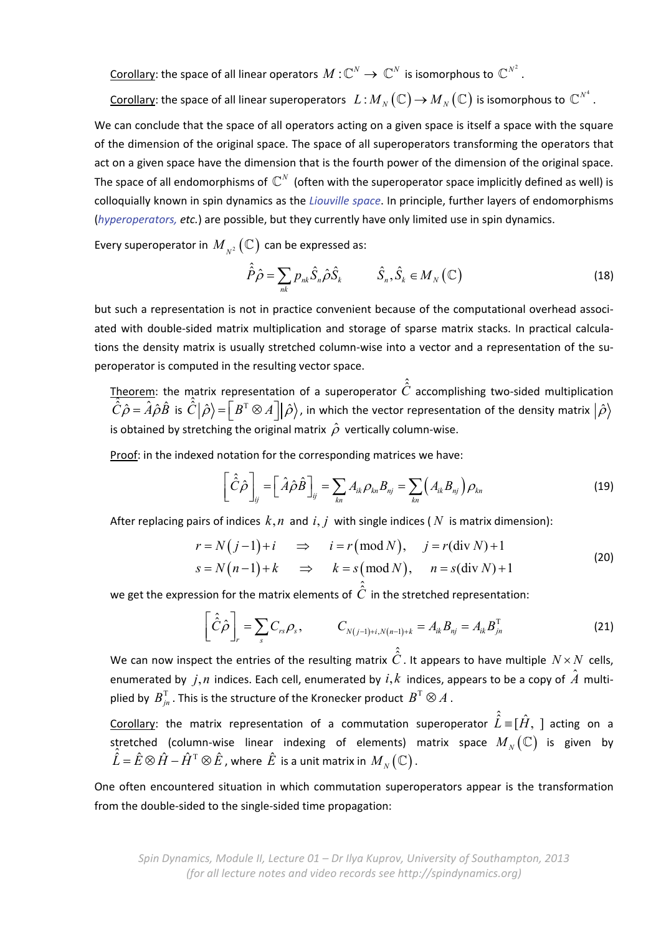Corollary: the space of all linear operators  $M: \mathbb{C}^N \to \mathbb{C}^N$  is isomorphous to  $\mathbb{C}^{N^2}$ .

Corollary: the space of all linear superoperators  $L : M_N(\mathbb{C}) \to M_N(\mathbb{C})$  is isomorphous to  $\mathbb{C}^{N^4}$ .

We can conclude that the space of all operators acting on a given space is itself a space with the square of the dimension of the original space. The space of all superoperators transforming the operators that act on a given space have the dimension that is the fourth power of the dimension of the original space. The space of all endomorphisms of  $\mathbb{C}^N$  (often with the superoperator space implicitly defined as well) is colloquially known in spin dynamics as the *Liouville space*. In principle, further layers of endomorphisms (*hyperoperators, etc.*) are possible, but they currently have only limited use in spin dynamics.

Every superoperator in  $\left. M_{_{N^{2}}}\right( \mathbb{C}\right)$  can be expressed as:

$$
\hat{\hat{P}}\hat{\rho} = \sum_{nk} p_{nk} \hat{S}_n \hat{\rho} \hat{S}_k \qquad \hat{S}_n, \hat{S}_k \in M_N(\mathbb{C})
$$
\n(18)

but such a representation is not in practice convenient because of the computational overhead associated with double‐sided matrix multiplication and storage of sparse matrix stacks. In practical calcula‐ tions the density matrix is usually stretched column‐wise into a vector and a representation of the su‐ peroperator is computed in the resulting vector space.

Theorem: the matrix representation of a superoperator  $\hat{C}$  accomplishing two-sided multiplication  $\hat{C}$  and  $\hat{A}$  and  $\hat{C}$  and  $\hat{C}$  and  $\hat{C}$  and  $\hat{C}$  and  $\hat{C}$  and  $\hat{C}$  and  $\hat{C}$  and  $\hat{C}$  and  $\hat{C}\hat{\rho} = \hat{A}\hat{\rho}\hat{B}$  is  $\hat{C}|\hat{\rho}\rangle = \left[B^T \otimes A\right]|\hat{\rho}\rangle$ , in which the vector representation of the density matrix  $|\hat{\rho}\rangle$ is obtained by stretching the original matrix  $\hat{\rho}$  vertically column-wise.

Proof: in the indexed notation for the corresponding matrices we have:

$$
\left[\hat{\hat{C}}\hat{\rho}\right]_{ij} = \left[\hat{A}\hat{\rho}\hat{B}\right]_{ij} = \sum_{kn} A_{ik}\rho_{kn}B_{nj} = \sum_{kn} \left(A_{ik}B_{nj}\right)\rho_{kn}
$$
\n(19)

After replacing pairs of indices  $k, n$  and  $i, j$  with single indices ( $N$  is matrix dimension):

$$
r = N(j-1) + i \implies i = r \pmod{N}, \quad j = r \pmod{N} + 1
$$
  
\n
$$
s = N(n-1) + k \implies k = s \pmod{N}, \quad n = s \pmod{N} + 1
$$
\n(20)

we get the expression for the matrix elements of  $\hat{\hat{C}}$  in the stretched representation:

$$
\left[\hat{\hat{C}}\hat{\rho}\right]_{r} = \sum_{s} C_{rs} \rho_{s}, \qquad C_{N(j-1)+i, N(n-1)+k} = A_{ik} B_{nj} = A_{ik} B_{jn}^{T}
$$
 (21)

We can now inspect the entries of the resulting matrix  $\hat{\hat{\mathcal{C}}}$  . It appears to have multiple  $\,N\!\times\!N\,$  cells, enumerated by  $j, n$  indices. Each cell, enumerated by  $i, k$  indices, appears to be a copy of  $\hat{A}$  multiplied by  $B_{in}^{\mathrm{T}}$ . This is the structure of the Kronecker product  $B^{\mathrm{T}} \otimes A$ .

Corollary: the matrix representation of a commutation superoperator  $\hat{\hat{L}} \equiv [\hat{H}, ~]$  acting on a stretched (column-wise linear indexing of elements) matrix space  $M_N(\mathbb{C})$  is given by  $\hat{L} = \hat{E} \otimes \hat{H} - \hat{H}^T \otimes \hat{E}$ , where  $\hat{E}$  is a unit matrix in  $M_N(\mathbb{C})$ .

One often encountered situation in which commutation superoperators appear is the transformation from the double‐sided to the single‐sided time propagation: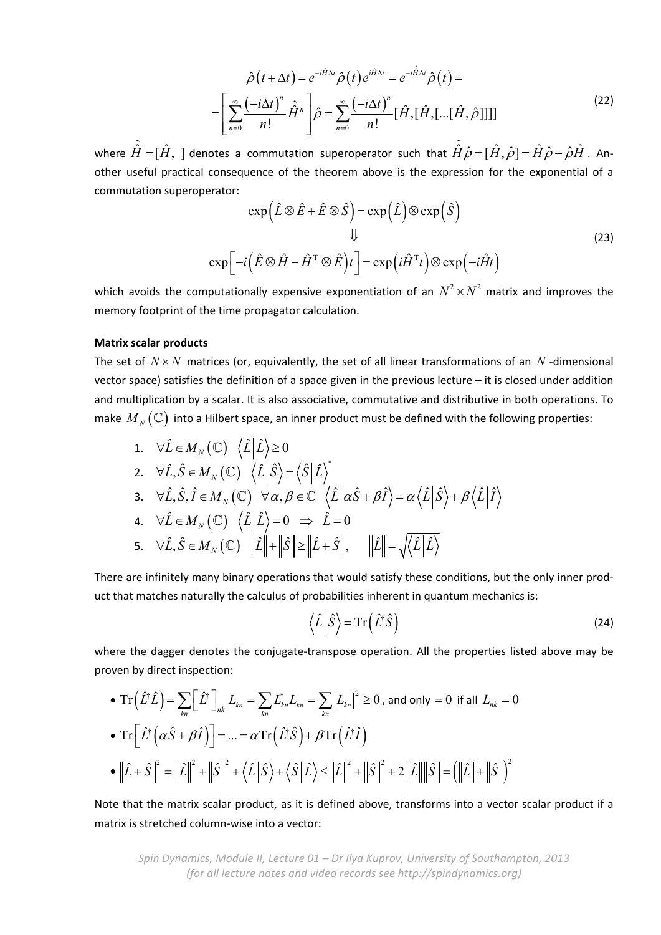$$
\hat{\rho}(t+\Delta t) = e^{-i\hat{H}\Delta t} \hat{\rho}(t) e^{i\hat{H}\Delta t} = e^{-i\hat{H}\Delta t} \hat{\rho}(t) =
$$
\n
$$
= \left[ \sum_{n=0}^{\infty} \frac{(-i\Delta t)^n}{n!} \hat{H}^n \right] \hat{\rho} = \sum_{n=0}^{\infty} \frac{(-i\Delta t)^n}{n!} [\hat{H}, [\hat{H}, [\dots[\hat{H}, \hat{\rho}]]]]]
$$
\n(22)

where  $\hat{\hat{H}} = [\hat{H},~]$  denotes a commutation superoperator such that  $\hat{\hat{H}}\hat{\rho} = [\hat{H},\hat{\rho}] = \hat{H}\hat{\rho} - \hat{\rho}\hat{H}$  . Another useful practical consequence of the theorem above is the expression for the exponential of a commutation superoperator:

$$
\exp\left(\hat{L}\otimes\hat{E}+\hat{E}\otimes\hat{S}\right)=\exp\left(\hat{L}\right)\otimes\exp\left(\hat{S}\right)
$$
  

$$
\downarrow \qquad \qquad \downarrow \qquad (23)
$$
  

$$
\exp\left[-i\left(\hat{E}\otimes\hat{H}-\hat{H}^{\mathrm{T}}\otimes\hat{E}\right)t\right]=\exp\left(i\hat{H}^{\mathrm{T}}t\right)\otimes\exp\left(-i\hat{H}t\right)
$$

which avoids the computationally expensive exponentiation of an  $N^2 \times N^2$  matrix and improves the memory footprint of the time propagator calculation.

#### **Matrix scalar products**

The set of  $N \times N$  matrices (or, equivalently, the set of all linear transformations of an  $N$ -dimensional vector space) satisfies the definition of a space given in the previous lecture – it is closed under addition and multiplication by a scalar. It is also associative, commutative and distributive in both operations. To make  $M_N(\mathbb{C})$  into a Hilbert space, an inner product must be defined with the following properties:

1. 
$$
\forall \hat{L} \in M_N(\mathbb{C}) \langle \hat{L} | \hat{L} \rangle \ge 0
$$
  
\n2.  $\forall \hat{L}, \hat{S} \in M_N(\mathbb{C}) \langle \hat{L} | \hat{S} \rangle = \langle \hat{S} | \hat{L} \rangle^*$   
\n3.  $\forall \hat{L}, \hat{S}, \hat{I} \in M_N(\mathbb{C}) \forall \alpha, \beta \in \mathbb{C} \langle \hat{L} | \alpha \hat{S} + \beta \hat{I} \rangle = \alpha \langle \hat{L} | \hat{S} \rangle + \beta \langle \hat{L} | \hat{I} \rangle$   
\n4.  $\forall \hat{L} \in M_N(\mathbb{C}) \langle \hat{L} | \hat{L} \rangle = 0 \Rightarrow \hat{L} = 0$   
\n5.  $\forall \hat{L}, \hat{S} \in M_N(\mathbb{C}) ||\hat{L}|| + ||\hat{S}|| \ge ||\hat{L} + \hat{S}||, ||\hat{L}|| = \sqrt{\langle \hat{L} | \hat{L} \rangle}$ 

There are infinitely many binary operations that would satisfy these conditions, but the only inner prod‐ uct that matches naturally the calculus of probabilities inherent in quantum mechanics is:

$$
\langle \hat{L} | \hat{S} \rangle = \text{Tr} (\hat{L}^{\dagger} \hat{S}) \tag{24}
$$

where the dagger denotes the conjugate-transpose operation. All the properties listed above may be proven by direct inspection:

• 
$$
\operatorname{Tr}(\hat{L}^{\dagger}\hat{L}) = \sum_{kn} [\hat{L}^{\dagger}]_{nk} L_{kn} = \sum_{kn} L_{kn}^{*} L_{kn} = \sum_{kn} |L_{kn}|^{2} \ge 0
$$
, and only = 0 if all  $L_{nk} = 0$   
\n•  $\operatorname{Tr}[\hat{L}^{\dagger}(\alpha \hat{S} + \beta \hat{I})] = ... = \alpha \operatorname{Tr}(\hat{L}^{\dagger}\hat{S}) + \beta \operatorname{Tr}(\hat{L}^{\dagger}\hat{I})$   
\n•  $||\hat{L} + \hat{S}||^{2} = ||\hat{L}||^{2} + ||\hat{S}||^{2} + \langle \hat{L}|\hat{S}\rangle + \langle \hat{S}|\hat{L}\rangle \le ||\hat{L}||^{2} + ||\hat{S}||^{2} + 2||\hat{L}|| ||\hat{S}|| = (||\hat{L}|| + ||\hat{S}||)^{2}$ 

Note that the matrix scalar product, as it is defined above, transforms into a vector scalar product if a matrix is stretched column‐wise into a vector: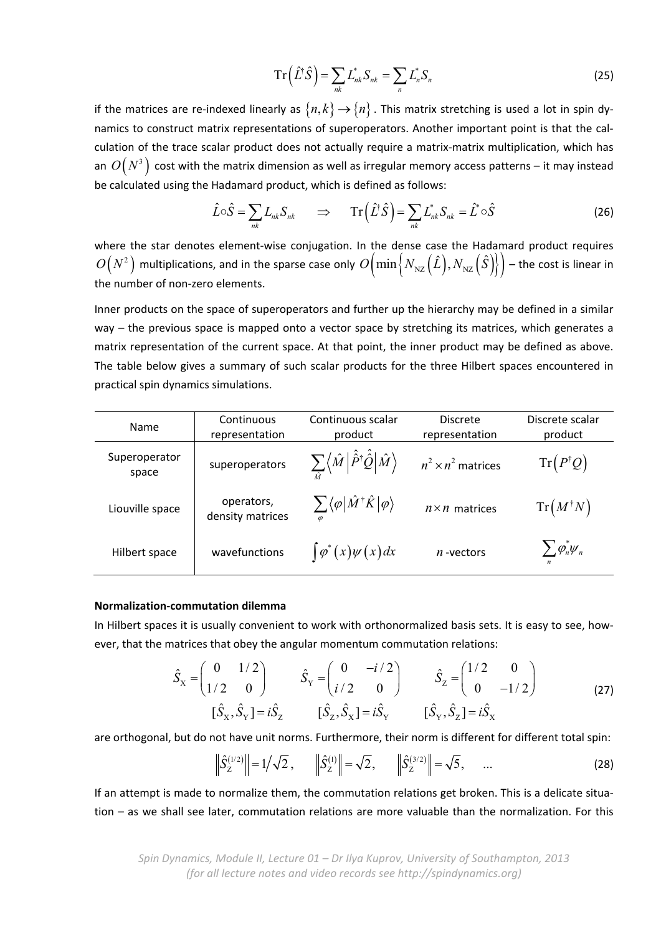$$
Tr(\hat{L}^{\dagger}\hat{S})=\sum_{nk}L_{nk}^{*}S_{nk}=\sum_{n}L_{n}^{*}S_{n}
$$
\n(25)

if the matrices are re-indexed linearly as  $\{n, k\} \rightarrow \{n\}$ . This matrix stretching is used a lot in spin dynamics to construct matrix representations of superoperators. Another important point is that the cal‐ culation of the trace scalar product does not actually require a matrix-matrix multiplication, which has an  $O(N^3)$  cost with the matrix dimension as well as irregular memory access patterns – it may instead be calculated using the Hadamard product, which is defined as follows:

$$
\hat{L}\circ\hat{S} = \sum_{nk} L_{nk} S_{nk} \qquad \Rightarrow \qquad \mathrm{Tr}\left(\hat{L}^{\dagger}\hat{S}\right) = \sum_{nk} L_{nk}^{*} S_{nk} = \hat{L}^{*} \circ\hat{S} \tag{26}
$$

where the star denotes element-wise conjugation. In the dense case the Hadamard product requires  $O(N^2)$  multiplications, and in the sparse case only  $O\left(\min\left\{N_{\rm NZ}\left(\hat{L}\right), N_{\rm NZ}\left(\hat{S}\right)\right\}\right)$  – the cost is linear in the number of non‐zero elements.

Inner products on the space of superoperators and further up the hierarchy may be defined in a similar way – the previous space is mapped onto a vector space by stretching its matrices, which generates a matrix representation of the current space. At that point, the inner product may be defined as above. The table below gives a summary of such scalar products for the three Hilbert spaces encountered in practical spin dynamics simulations.

| Name                   | Continuous<br>representation   | Continuous scalar<br>product                                                                                             | <b>Discrete</b><br>representation | Discrete scalar<br>product                                   |
|------------------------|--------------------------------|--------------------------------------------------------------------------------------------------------------------------|-----------------------------------|--------------------------------------------------------------|
| Superoperator<br>space | superoperators                 | $\sum\limits_{\hat{\alpha}}\Bigl\langle \hat{M}\Bigr \hat{\hat{P}}^\dagger \hat{\hat{\cal Q}} \Bigr \hat{M}\Bigr\rangle$ | $n^2 \times n^2$ matrices         | $Tr(P^{\dagger}Q)$                                           |
| Liouville space        | operators,<br>density matrices | $\sum \langle \varphi   \hat{M}^\dagger \hat{K}   \varphi \rangle$                                                       | $n \times n$ matrices             | $Tr(M^{\dagger}N)$                                           |
| Hilbert space          | wavefunctions                  | $\int \varphi^*(x) \psi(x) dx$                                                                                           | $n$ -vectors                      | $\sum \varphi_n^* \psi_n^{\vphantom{*}}$<br>$\boldsymbol{n}$ |

## **Normalization‐commutation dilemma**

In Hilbert spaces it is usually convenient to work with orthonormalized basis sets. It is easy to see, how‐ ever, that the matrices that obey the angular momentum commutation relations:

$$
\hat{S}_{X} = \begin{pmatrix} 0 & 1/2 \\ 1/2 & 0 \end{pmatrix} \qquad \hat{S}_{Y} = \begin{pmatrix} 0 & -i/2 \\ i/2 & 0 \end{pmatrix} \qquad \hat{S}_{Z} = \begin{pmatrix} 1/2 & 0 \\ 0 & -1/2 \end{pmatrix}
$$
\n
$$
[\hat{S}_{X}, \hat{S}_{Y}] = i\hat{S}_{Z} \qquad [\hat{S}_{Z}, \hat{S}_{X}] = i\hat{S}_{Y} \qquad [\hat{S}_{Y}, \hat{S}_{Z}] = i\hat{S}_{X}
$$
\n(27)

are orthogonal, but do not have unit norms. Furthermore, their norm is different for different total spin:

$$
\left\| \hat{S}_{Z}^{(1/2)} \right\| = 1/\sqrt{2}, \qquad \left\| \hat{S}_{Z}^{(1)} \right\| = \sqrt{2}, \qquad \left\| \hat{S}_{Z}^{(3/2)} \right\| = \sqrt{5}, \qquad \dots \tag{28}
$$

If an attempt is made to normalize them, the commutation relations get broken. This is a delicate situa‐ tion – as we shall see later, commutation relations are more valuable than the normalization. For this